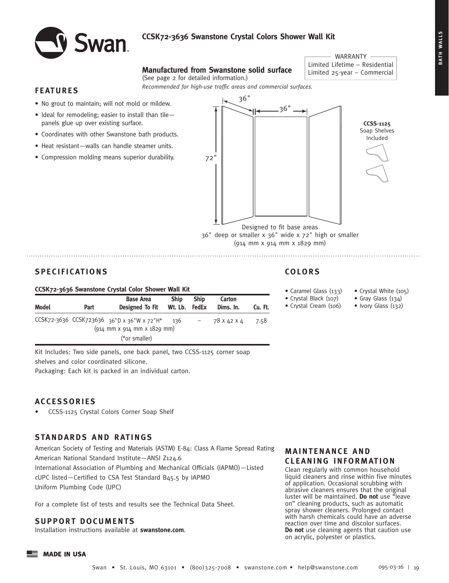

# **CCSK72-3636 Swanstone Crystal Colors Shower Wall Kit**

# **Manufactured from Swanstone solid surface** Limited Lifetime – Residential (See page 2 for detailed information.)

WARRANTY

#### **FEATURES**

- No grout to maintain; will not mold or mildew.
- Ideal for remodeling; easier to install than tilepanels glue up over existing surface.
- Coordinates with other Swanstone bath products.
- Heat resistant—walls can handle steamer units.
- Compression molding means superior durability.



### **SPECIFICATIONS**

#### **CCSK72-3636 Swanstone Crystal Color Shower Wall Kit**

| Model | Part | <b>Base Area</b><br>Designed To Fit                                                                                                  | <b>Ship</b><br>Wt. Lb. FedEx | <b>Ship</b> | Carton<br>Dims. In. | Cu. Ft. |
|-------|------|--------------------------------------------------------------------------------------------------------------------------------------|------------------------------|-------------|---------------------|---------|
|       |      | CCSK72-3636 CCSK723636 36"D x 36"W x 72"H*<br>$(914 \, \text{mm} \times 914 \, \text{mm} \times 1829 \, \text{mm})$<br>(*or smaller) | 136                          |             | 78 X 42 X 4         | 7.58    |

Kit Includes: Two side panels, one back panel, two CCSS-1125 corner soap shelves and color coordinated silicone.

Packaging: Each kit is packed in an individual carton.

### **ACCESSORIES**

• CCSS-1125 Crystal Colors Corner Soap Shelf

# **STANDARDS AND RATINGS**

American Society of Testing and Materials (ASTM) E-84: Class A Flame Spread Rating American National Standard Institute—ANSI Z124.6 International Association of Plumbing and Mechanical Officials (IAPMO)—Listed cUPC listed—Certified to CSA Test Standard B45.5 by IAPMO Uniform Plumbing Code (UPC)

For a complete list of tests and results see the Technical Data Sheet.

#### **SUPPORT DOCUMENTS**

Installation instructions available at **swanstone.com**.

# **COLORS**

- Caramel Glass (133)
- Crystal Black (107)
- Crystal Cream (106)
- Crystal White (105)
- Gray Glass (134)
- Ivory Glass (132)

## **MAINTENANCE AND CLEANING INFORMATION**

Clean regularly with common household liquid cleaners and rinse within five minutes of application. Occasional scrubbing with abrasive cleaners ensures that the original luster will be maintained. **Do not** use "leave on" cleaning products, such as automatic spray shower cleaners. Prolonged contact with harsh chemicals could have an adverse reaction over time and discolor surfaces. **Do not** use cleaning agents that caution use on acrylic, polyester or plastics.